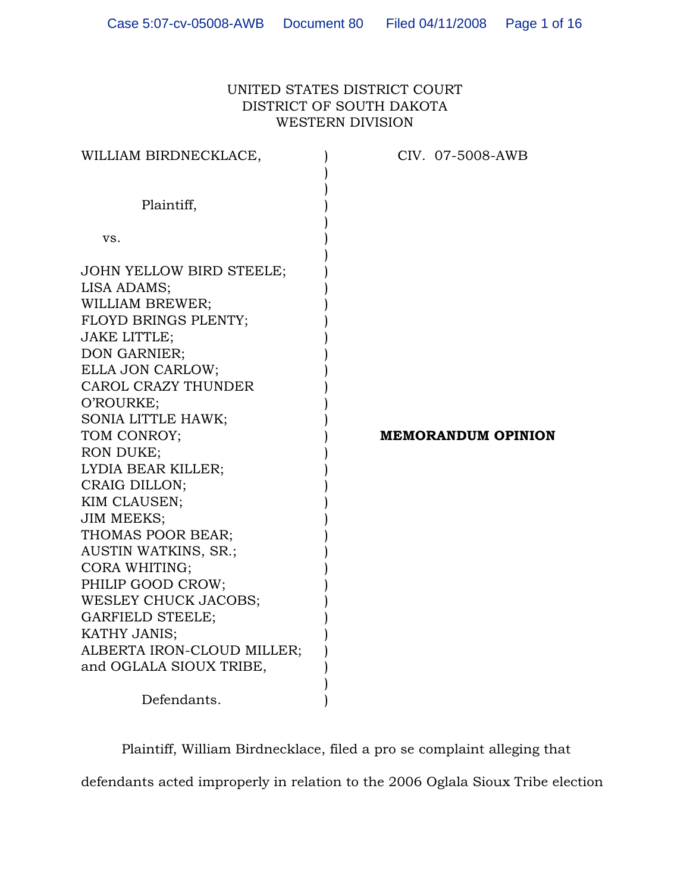# UNITED STATES DISTRICT COURT DISTRICT OF SOUTH DAKOTA WESTERN DIVISION

| WILLIAM BIRDNECKLACE,                                                                                                                                                                                                                                                                                                                                                                                                                                                                                                                                | CIV. 07-5008-AWB          |
|------------------------------------------------------------------------------------------------------------------------------------------------------------------------------------------------------------------------------------------------------------------------------------------------------------------------------------------------------------------------------------------------------------------------------------------------------------------------------------------------------------------------------------------------------|---------------------------|
| Plaintiff,                                                                                                                                                                                                                                                                                                                                                                                                                                                                                                                                           |                           |
| VS.                                                                                                                                                                                                                                                                                                                                                                                                                                                                                                                                                  |                           |
| JOHN YELLOW BIRD STEELE;<br>LISA ADAMS;<br>WILLIAM BREWER;<br>FLOYD BRINGS PLENTY;<br><b>JAKE LITTLE;</b><br>DON GARNIER;<br>ELLA JON CARLOW;<br>CAROL CRAZY THUNDER<br>O'ROURKE;<br>SONIA LITTLE HAWK;<br>TOM CONROY;<br><b>RON DUKE;</b><br>LYDIA BEAR KILLER;<br>CRAIG DILLON;<br>KIM CLAUSEN;<br><b>JIM MEEKS;</b><br>THOMAS POOR BEAR;<br>AUSTIN WATKINS, SR.;<br>CORA WHITING;<br>PHILIP GOOD CROW;<br>WESLEY CHUCK JACOBS;<br><b>GARFIELD STEELE;</b><br>KATHY JANIS;<br>ALBERTA IRON-CLOUD MILLER;<br>and OGLALA SIOUX TRIBE,<br>Defendants. | <b>MEMORANDUM OPINION</b> |

Plaintiff, William Birdnecklace, filed a pro se complaint alleging that defendants acted improperly in relation to the 2006 Oglala Sioux Tribe election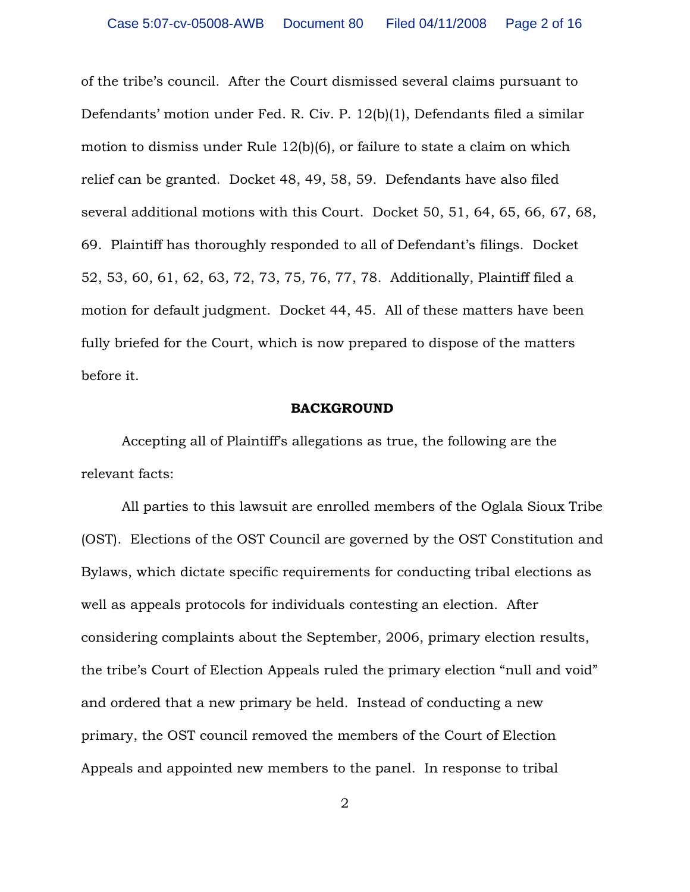of the tribe's council. After the Court dismissed several claims pursuant to Defendants' motion under Fed. R. Civ. P. 12(b)(1), Defendants filed a similar motion to dismiss under Rule 12(b)(6), or failure to state a claim on which relief can be granted. Docket 48, 49, 58, 59. Defendants have also filed several additional motions with this Court. Docket 50, 51, 64, 65, 66, 67, 68, 69. Plaintiff has thoroughly responded to all of Defendant's filings. Docket 52, 53, 60, 61, 62, 63, 72, 73, 75, 76, 77, 78. Additionally, Plaintiff filed a motion for default judgment. Docket 44, 45. All of these matters have been fully briefed for the Court, which is now prepared to dispose of the matters before it.

## **BACKGROUND**

Accepting all of Plaintiff's allegations as true, the following are the relevant facts:

All parties to this lawsuit are enrolled members of the Oglala Sioux Tribe (OST). Elections of the OST Council are governed by the OST Constitution and Bylaws, which dictate specific requirements for conducting tribal elections as well as appeals protocols for individuals contesting an election. After considering complaints about the September, 2006, primary election results, the tribe's Court of Election Appeals ruled the primary election "null and void" and ordered that a new primary be held. Instead of conducting a new primary, the OST council removed the members of the Court of Election Appeals and appointed new members to the panel. In response to tribal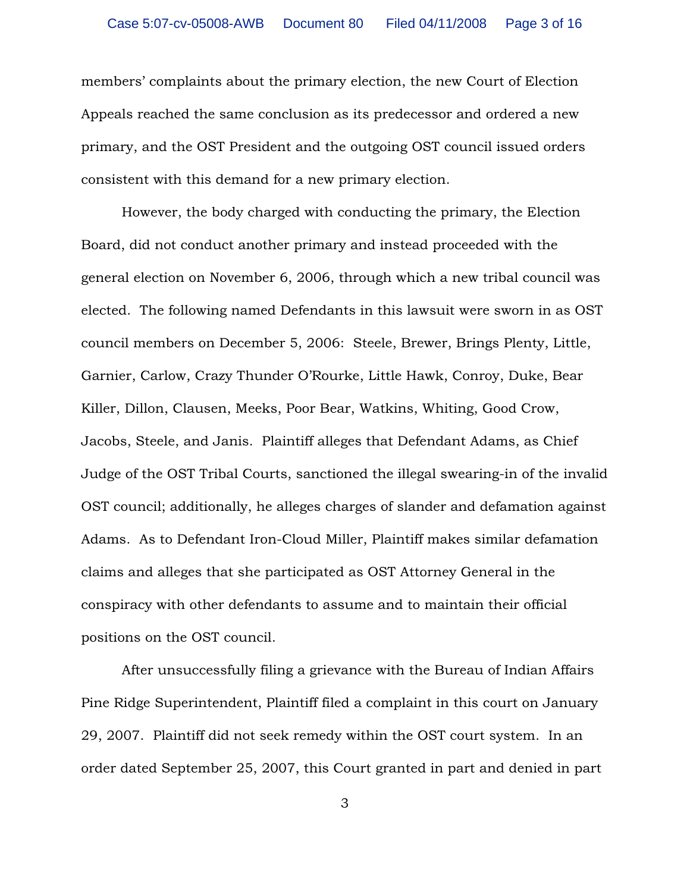members' complaints about the primary election, the new Court of Election Appeals reached the same conclusion as its predecessor and ordered a new primary, and the OST President and the outgoing OST council issued orders consistent with this demand for a new primary election.

However, the body charged with conducting the primary, the Election Board, did not conduct another primary and instead proceeded with the general election on November 6, 2006, through which a new tribal council was elected. The following named Defendants in this lawsuit were sworn in as OST council members on December 5, 2006: Steele, Brewer, Brings Plenty, Little, Garnier, Carlow, Crazy Thunder O'Rourke, Little Hawk, Conroy, Duke, Bear Killer, Dillon, Clausen, Meeks, Poor Bear, Watkins, Whiting, Good Crow, Jacobs, Steele, and Janis. Plaintiff alleges that Defendant Adams, as Chief Judge of the OST Tribal Courts, sanctioned the illegal swearing-in of the invalid OST council; additionally, he alleges charges of slander and defamation against Adams. As to Defendant Iron-Cloud Miller, Plaintiff makes similar defamation claims and alleges that she participated as OST Attorney General in the conspiracy with other defendants to assume and to maintain their official positions on the OST council.

After unsuccessfully filing a grievance with the Bureau of Indian Affairs Pine Ridge Superintendent, Plaintiff filed a complaint in this court on January 29, 2007. Plaintiff did not seek remedy within the OST court system. In an order dated September 25, 2007, this Court granted in part and denied in part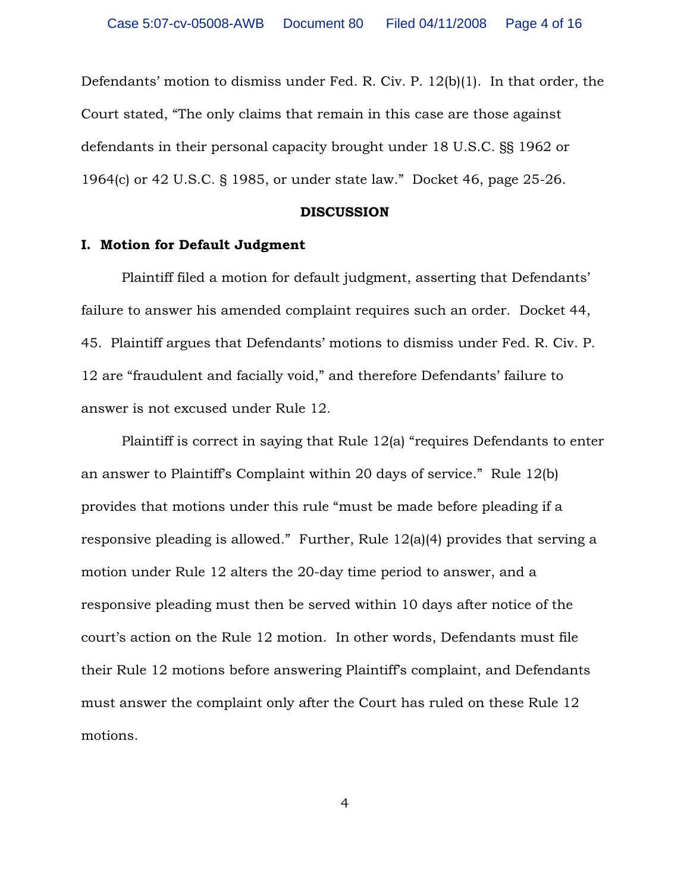Defendants' motion to dismiss under Fed. R. Civ. P. 12(b)(1). In that order, the Court stated, "The only claims that remain in this case are those against defendants in their personal capacity brought under 18 U.S.C. §§ 1962 or 1964(c) or 42 U.S.C. § 1985, or under state law." Docket 46, page 25-26.

#### **DISCUSSION**

### **I. Motion for Default Judgment**

Plaintiff filed a motion for default judgment, asserting that Defendants' failure to answer his amended complaint requires such an order. Docket 44, 45. Plaintiff argues that Defendants' motions to dismiss under Fed. R. Civ. P. 12 are "fraudulent and facially void," and therefore Defendants' failure to answer is not excused under Rule 12.

Plaintiff is correct in saying that Rule 12(a) "requires Defendants to enter an answer to Plaintiff's Complaint within 20 days of service." Rule 12(b) provides that motions under this rule "must be made before pleading if a responsive pleading is allowed." Further, Rule 12(a)(4) provides that serving a motion under Rule 12 alters the 20-day time period to answer, and a responsive pleading must then be served within 10 days after notice of the court's action on the Rule 12 motion. In other words, Defendants must file their Rule 12 motions before answering Plaintiff's complaint, and Defendants must answer the complaint only after the Court has ruled on these Rule 12 motions.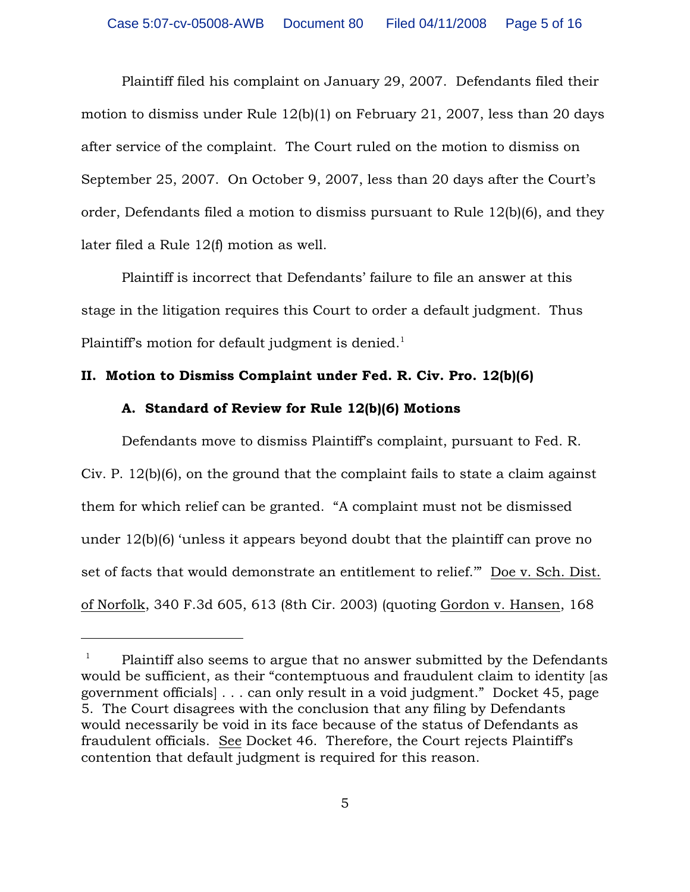Plaintiff filed his complaint on January 29, 2007. Defendants filed their motion to dismiss under Rule 12(b)(1) on February 21, 2007, less than 20 days after service of the complaint. The Court ruled on the motion to dismiss on September 25, 2007. On October 9, 2007, less than 20 days after the Court's order, Defendants filed a motion to dismiss pursuant to Rule 12(b)(6), and they later filed a Rule 12(f) motion as well.

Plaintiff is incorrect that Defendants' failure to file an answer at this stage in the litigation requires this Court to order a default judgment. Thus Plaintiff's motion for default judgment is denied. $^{\rm 1}$ 

# **II. Motion to Dismiss Complaint under Fed. R. Civ. Pro. 12(b)(6)**

# **A. Standard of Review for Rule 12(b)(6) Motions**

Defendants move to dismiss Plaintiff's complaint, pursuant to Fed. R. Civ. P. 12(b)(6), on the ground that the complaint fails to state a claim against them for which relief can be granted. "A complaint must not be dismissed under 12(b)(6) 'unless it appears beyond doubt that the plaintiff can prove no set of facts that would demonstrate an entitlement to relief.'" Doe v. Sch. Dist. of Norfolk, 340 F.3d 605, 613 (8th Cir. 2003) (quoting Gordon v. Hansen, 168

 $P$ laintiff also seems to argue that no answer submitted by the Defendants would be sufficient, as their "contemptuous and fraudulent claim to identity [as government officials] . . . can only result in a void judgment." Docket 45, page 5. The Court disagrees with the conclusion that any filing by Defendants would necessarily be void in its face because of the status of Defendants as fraudulent officials. See Docket 46. Therefore, the Court rejects Plaintiff's contention that default judgment is required for this reason.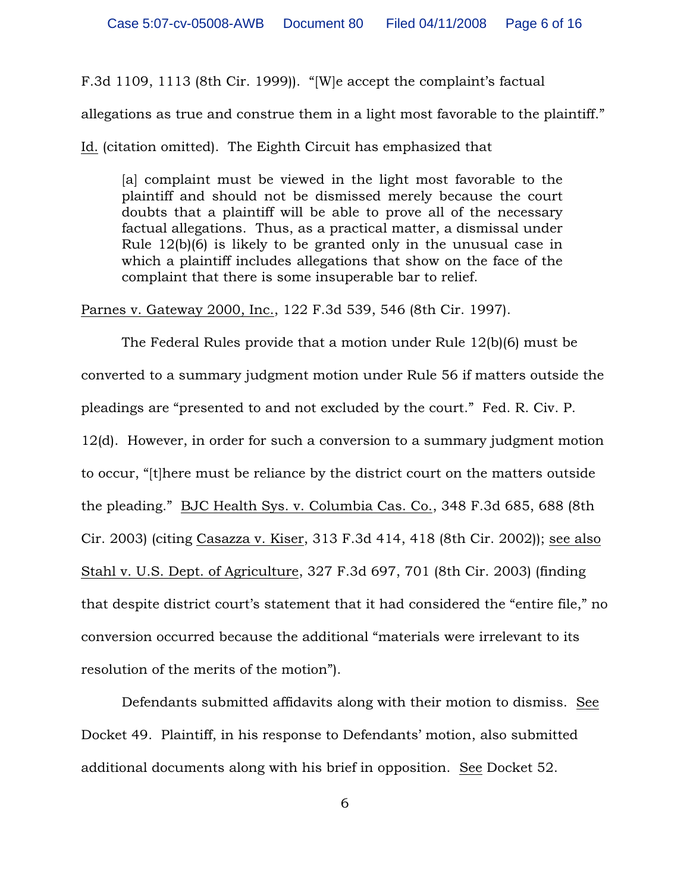F.3d 1109, 1113 (8th Cir. 1999)). "[W]e accept the complaint's factual

allegations as true and construe them in a light most favorable to the plaintiff."

Id. (citation omitted). The Eighth Circuit has emphasized that

[a] complaint must be viewed in the light most favorable to the plaintiff and should not be dismissed merely because the court doubts that a plaintiff will be able to prove all of the necessary factual allegations. Thus, as a practical matter, a dismissal under Rule 12(b)(6) is likely to be granted only in the unusual case in which a plaintiff includes allegations that show on the face of the complaint that there is some insuperable bar to relief.

Parnes v. Gateway 2000, Inc., 122 F.3d 539, 546 (8th Cir. 1997).

The Federal Rules provide that a motion under Rule 12(b)(6) must be converted to a summary judgment motion under Rule 56 if matters outside the pleadings are "presented to and not excluded by the court." Fed. R. Civ. P. 12(d). However, in order for such a conversion to a summary judgment motion to occur, "[t]here must be reliance by the district court on the matters outside the pleading." BJC Health Sys. v. Columbia Cas. Co., 348 F.3d 685, 688 (8th Cir. 2003) (citing Casazza v. Kiser, 313 F.3d 414, 418 (8th Cir. 2002)); see also Stahl v. U.S. Dept. of Agriculture, 327 F.3d 697, 701 (8th Cir. 2003) (finding that despite district court's statement that it had considered the "entire file," no conversion occurred because the additional "materials were irrelevant to its resolution of the merits of the motion").

Defendants submitted affidavits along with their motion to dismiss. See Docket 49. Plaintiff, in his response to Defendants' motion, also submitted additional documents along with his brief in opposition. See Docket 52.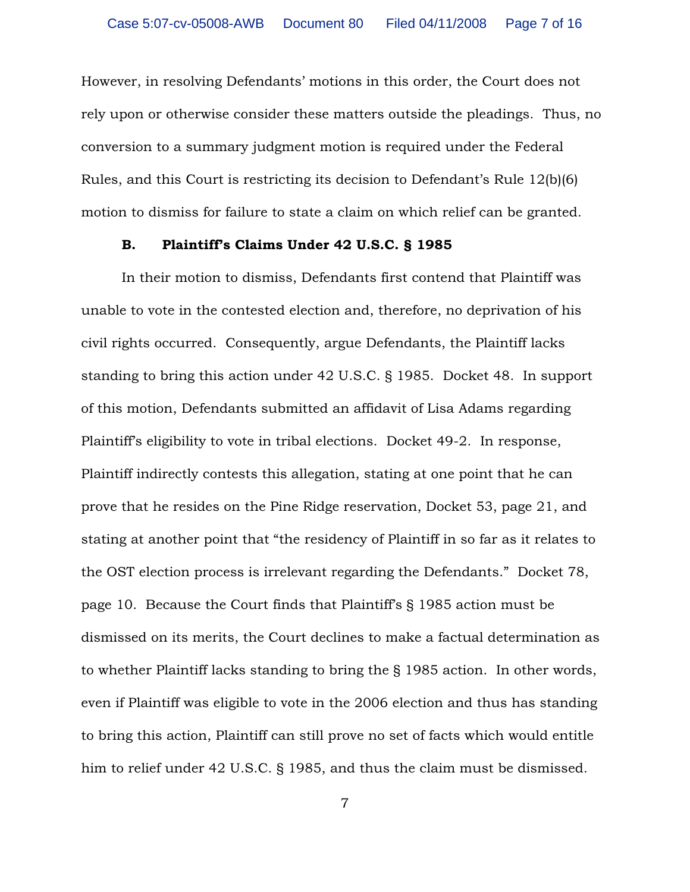However, in resolving Defendants' motions in this order, the Court does not rely upon or otherwise consider these matters outside the pleadings. Thus, no conversion to a summary judgment motion is required under the Federal Rules, and this Court is restricting its decision to Defendant's Rule 12(b)(6) motion to dismiss for failure to state a claim on which relief can be granted.

### **B. Plaintiff's Claims Under 42 U.S.C. § 1985**

In their motion to dismiss, Defendants first contend that Plaintiff was unable to vote in the contested election and, therefore, no deprivation of his civil rights occurred. Consequently, argue Defendants, the Plaintiff lacks standing to bring this action under 42 U.S.C. § 1985. Docket 48. In support of this motion, Defendants submitted an affidavit of Lisa Adams regarding Plaintiff's eligibility to vote in tribal elections. Docket 49-2. In response, Plaintiff indirectly contests this allegation, stating at one point that he can prove that he resides on the Pine Ridge reservation, Docket 53, page 21, and stating at another point that "the residency of Plaintiff in so far as it relates to the OST election process is irrelevant regarding the Defendants." Docket 78, page 10. Because the Court finds that Plaintiff's § 1985 action must be dismissed on its merits, the Court declines to make a factual determination as to whether Plaintiff lacks standing to bring the § 1985 action. In other words, even if Plaintiff was eligible to vote in the 2006 election and thus has standing to bring this action, Plaintiff can still prove no set of facts which would entitle him to relief under 42 U.S.C. § 1985, and thus the claim must be dismissed.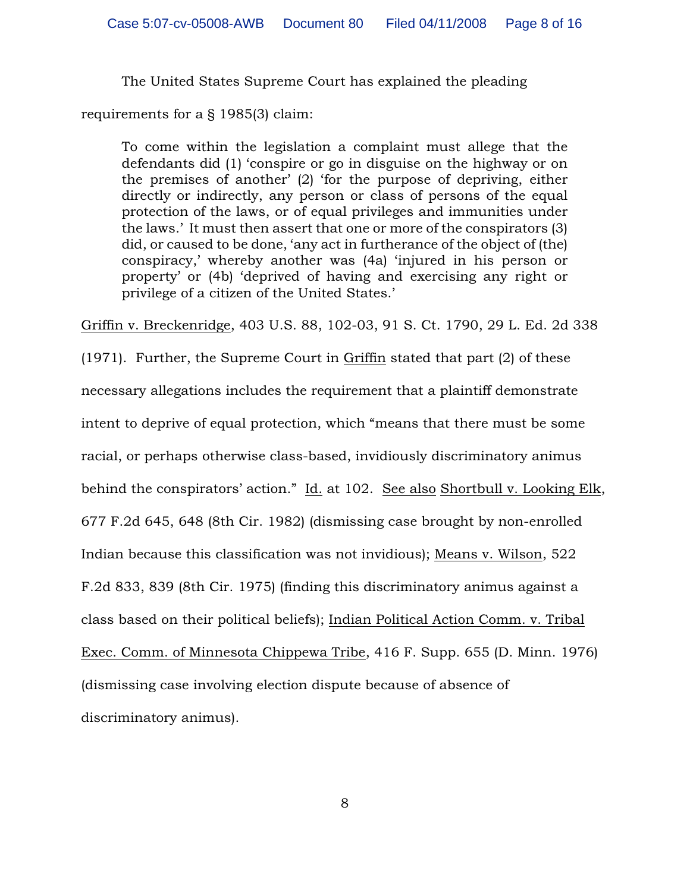The United States Supreme Court has explained the pleading

requirements for a § 1985(3) claim:

To come within the legislation a complaint must allege that the defendants did (1) 'conspire or go in disguise on the highway or on the premises of another' (2) 'for the purpose of depriving, either directly or indirectly, any person or class of persons of the equal protection of the laws, or of equal privileges and immunities under the laws.' It must then assert that one or more of the conspirators (3) did, or caused to be done, 'any act in furtherance of the object of (the) conspiracy,' whereby another was (4a) 'injured in his person or property' or (4b) 'deprived of having and exercising any right or privilege of a citizen of the United States.'

Griffin v. Breckenridge, 403 U.S. 88, 102-03, 91 S. Ct. 1790, 29 L. Ed. 2d 338 (1971). Further, the Supreme Court in Griffin stated that part (2) of these necessary allegations includes the requirement that a plaintiff demonstrate intent to deprive of equal protection, which "means that there must be some racial, or perhaps otherwise class-based, invidiously discriminatory animus behind the conspirators' action." Id. at 102. See also Shortbull v. Looking Elk, 677 F.2d 645, 648 (8th Cir. 1982) (dismissing case brought by non-enrolled Indian because this classification was not invidious); Means v. Wilson, 522 F.2d 833, 839 (8th Cir. 1975) (finding this discriminatory animus against a class based on their political beliefs); Indian Political Action Comm. v. Tribal Exec. Comm. of Minnesota Chippewa Tribe, 416 F. Supp. 655 (D. Minn. 1976) (dismissing case involving election dispute because of absence of discriminatory animus).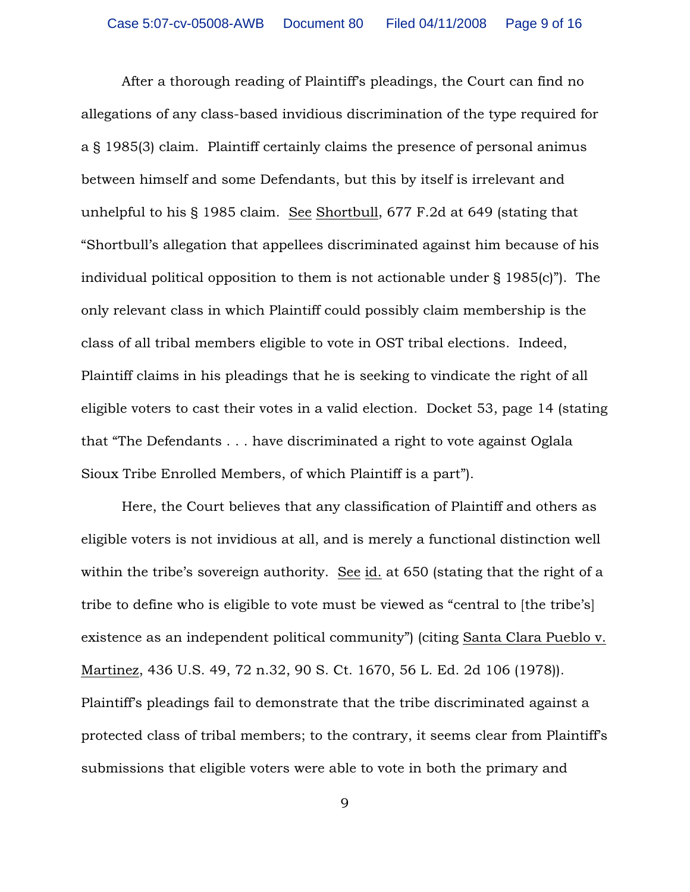After a thorough reading of Plaintiff's pleadings, the Court can find no allegations of any class-based invidious discrimination of the type required for a § 1985(3) claim. Plaintiff certainly claims the presence of personal animus between himself and some Defendants, but this by itself is irrelevant and unhelpful to his § 1985 claim. See Shortbull, 677 F.2d at 649 (stating that "Shortbull's allegation that appellees discriminated against him because of his individual political opposition to them is not actionable under § 1985(c)"). The only relevant class in which Plaintiff could possibly claim membership is the class of all tribal members eligible to vote in OST tribal elections. Indeed, Plaintiff claims in his pleadings that he is seeking to vindicate the right of all eligible voters to cast their votes in a valid election. Docket 53, page 14 (stating that "The Defendants . . . have discriminated a right to vote against Oglala Sioux Tribe Enrolled Members, of which Plaintiff is a part").

Here, the Court believes that any classification of Plaintiff and others as eligible voters is not invidious at all, and is merely a functional distinction well within the tribe's sovereign authority. See id. at 650 (stating that the right of a tribe to define who is eligible to vote must be viewed as "central to [the tribe's] existence as an independent political community") (citing Santa Clara Pueblo v. Martinez, 436 U.S. 49, 72 n.32, 90 S. Ct. 1670, 56 L. Ed. 2d 106 (1978)). Plaintiff's pleadings fail to demonstrate that the tribe discriminated against a protected class of tribal members; to the contrary, it seems clear from Plaintiff's submissions that eligible voters were able to vote in both the primary and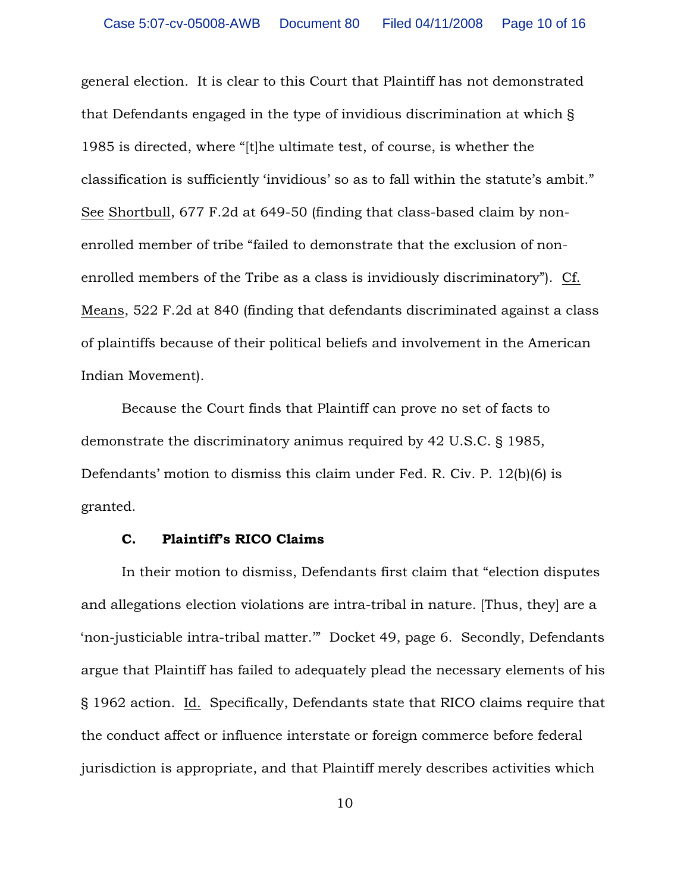general election. It is clear to this Court that Plaintiff has not demonstrated that Defendants engaged in the type of invidious discrimination at which § 1985 is directed, where "[t]he ultimate test, of course, is whether the classification is sufficiently 'invidious' so as to fall within the statute's ambit." See Shortbull, 677 F.2d at 649-50 (finding that class-based claim by nonenrolled member of tribe "failed to demonstrate that the exclusion of nonenrolled members of the Tribe as a class is invidiously discriminatory"). Cf. Means, 522 F.2d at 840 (finding that defendants discriminated against a class of plaintiffs because of their political beliefs and involvement in the American Indian Movement).

Because the Court finds that Plaintiff can prove no set of facts to demonstrate the discriminatory animus required by 42 U.S.C. § 1985, Defendants' motion to dismiss this claim under Fed. R. Civ. P. 12(b)(6) is granted.

### **C. Plaintiff's RICO Claims**

In their motion to dismiss, Defendants first claim that "election disputes and allegations election violations are intra-tribal in nature. [Thus, they] are a 'non-justiciable intra-tribal matter.'" Docket 49, page 6. Secondly, Defendants argue that Plaintiff has failed to adequately plead the necessary elements of his § 1962 action. Id. Specifically, Defendants state that RICO claims require that the conduct affect or influence interstate or foreign commerce before federal jurisdiction is appropriate, and that Plaintiff merely describes activities which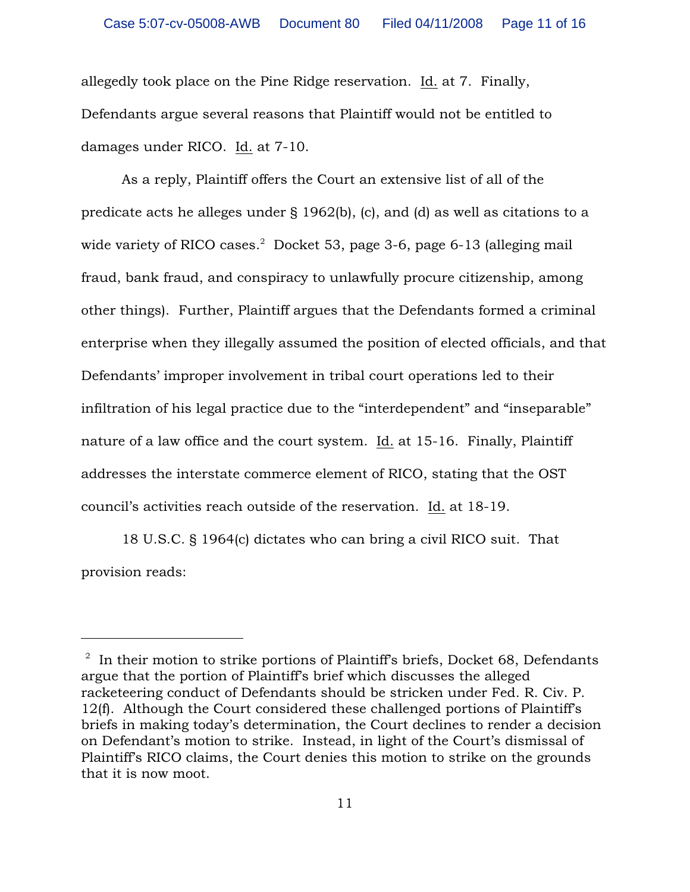allegedly took place on the Pine Ridge reservation. Id. at 7. Finally, Defendants argue several reasons that Plaintiff would not be entitled to damages under RICO. Id. at 7-10.

As a reply, Plaintiff offers the Court an extensive list of all of the predicate acts he alleges under § 1962(b), (c), and (d) as well as citations to a wide variety of RICO cases. $2$  Docket 53, page 3-6, page 6-13 (alleging mail fraud, bank fraud, and conspiracy to unlawfully procure citizenship, among other things). Further, Plaintiff argues that the Defendants formed a criminal enterprise when they illegally assumed the position of elected officials, and that Defendants' improper involvement in tribal court operations led to their infiltration of his legal practice due to the "interdependent" and "inseparable" nature of a law office and the court system. Id. at 15-16. Finally, Plaintiff addresses the interstate commerce element of RICO, stating that the OST council's activities reach outside of the reservation. Id. at 18-19.

18 U.S.C. § 1964(c) dictates who can bring a civil RICO suit. That provision reads:

 $\frac{1}{2}$  In their motion to strike portions of Plaintiff's briefs, Docket 68, Defendants argue that the portion of Plaintiff's brief which discusses the alleged racketeering conduct of Defendants should be stricken under Fed. R. Civ. P. 12(f). Although the Court considered these challenged portions of Plaintiff's briefs in making today's determination, the Court declines to render a decision on Defendant's motion to strike. Instead, in light of the Court's dismissal of Plaintiff's RICO claims, the Court denies this motion to strike on the grounds that it is now moot.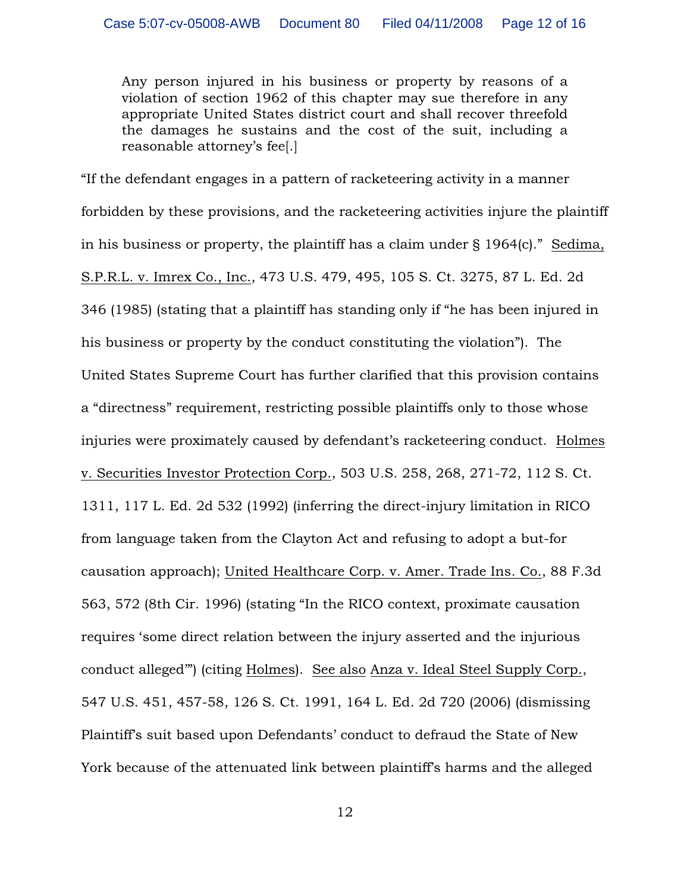Any person injured in his business or property by reasons of a violation of section 1962 of this chapter may sue therefore in any appropriate United States district court and shall recover threefold the damages he sustains and the cost of the suit, including a reasonable attorney's fee[.]

"If the defendant engages in a pattern of racketeering activity in a manner forbidden by these provisions, and the racketeering activities injure the plaintiff in his business or property, the plaintiff has a claim under § 1964(c)." Sedima, S.P.R.L. v. Imrex Co., Inc., 473 U.S. 479, 495, 105 S. Ct. 3275, 87 L. Ed. 2d 346 (1985) (stating that a plaintiff has standing only if "he has been injured in his business or property by the conduct constituting the violation"). The United States Supreme Court has further clarified that this provision contains a "directness" requirement, restricting possible plaintiffs only to those whose injuries were proximately caused by defendant's racketeering conduct. Holmes v. Securities Investor Protection Corp., 503 U.S. 258, 268, 271-72, 112 S. Ct. 1311, 117 L. Ed. 2d 532 (1992) (inferring the direct-injury limitation in RICO from language taken from the Clayton Act and refusing to adopt a but-for causation approach); United Healthcare Corp. v. Amer. Trade Ins. Co., 88 F.3d 563, 572 (8th Cir. 1996) (stating "In the RICO context, proximate causation requires 'some direct relation between the injury asserted and the injurious conduct alleged'") (citing Holmes). See also Anza v. Ideal Steel Supply Corp., 547 U.S. 451, 457-58, 126 S. Ct. 1991, 164 L. Ed. 2d 720 (2006) (dismissing Plaintiff's suit based upon Defendants' conduct to defraud the State of New York because of the attenuated link between plaintiff's harms and the alleged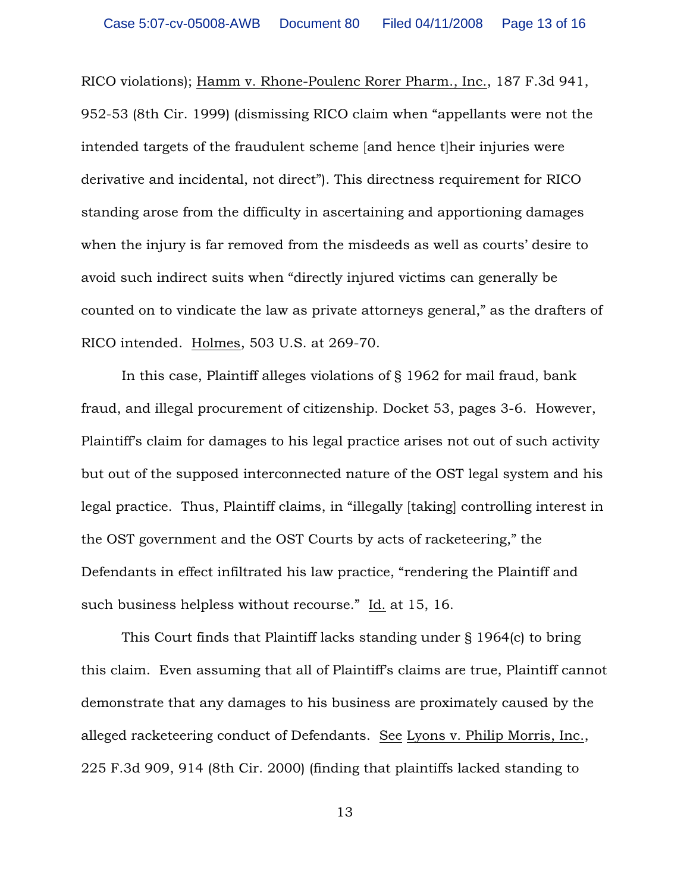RICO violations); Hamm v. Rhone-Poulenc Rorer Pharm., Inc., 187 F.3d 941, 952-53 (8th Cir. 1999) (dismissing RICO claim when "appellants were not the intended targets of the fraudulent scheme [and hence t]heir injuries were derivative and incidental, not direct"). This directness requirement for RICO standing arose from the difficulty in ascertaining and apportioning damages when the injury is far removed from the misdeeds as well as courts' desire to avoid such indirect suits when "directly injured victims can generally be counted on to vindicate the law as private attorneys general," as the drafters of RICO intended. Holmes, 503 U.S. at 269-70.

In this case, Plaintiff alleges violations of § 1962 for mail fraud, bank fraud, and illegal procurement of citizenship. Docket 53, pages 3-6. However, Plaintiff's claim for damages to his legal practice arises not out of such activity but out of the supposed interconnected nature of the OST legal system and his legal practice. Thus, Plaintiff claims, in "illegally [taking] controlling interest in the OST government and the OST Courts by acts of racketeering," the Defendants in effect infiltrated his law practice, "rendering the Plaintiff and such business helpless without recourse." Id. at 15, 16.

This Court finds that Plaintiff lacks standing under § 1964(c) to bring this claim. Even assuming that all of Plaintiff's claims are true, Plaintiff cannot demonstrate that any damages to his business are proximately caused by the alleged racketeering conduct of Defendants. See Lyons v. Philip Morris, Inc., 225 F.3d 909, 914 (8th Cir. 2000) (finding that plaintiffs lacked standing to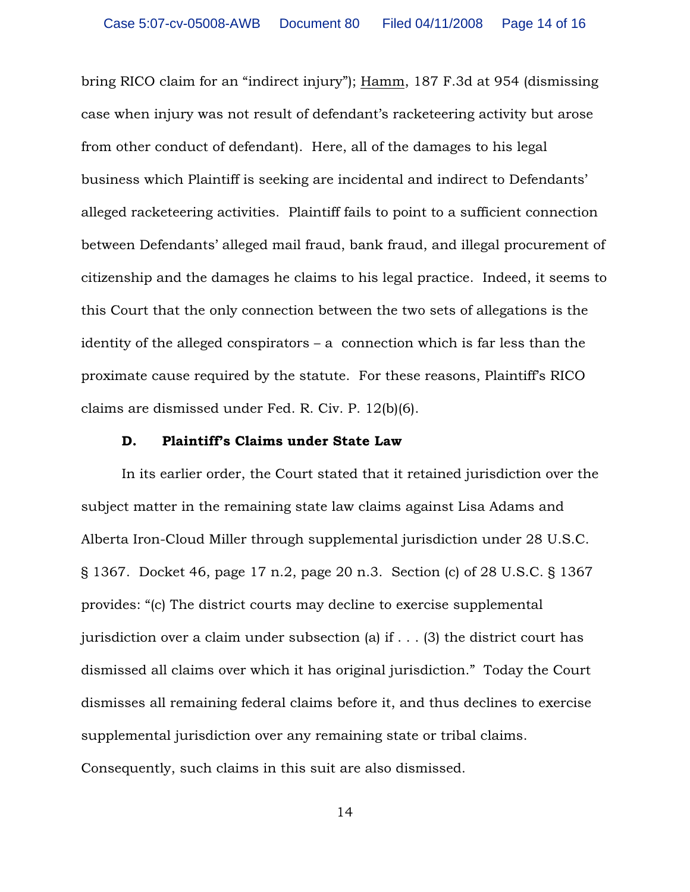bring RICO claim for an "indirect injury"); Hamm, 187 F.3d at 954 (dismissing case when injury was not result of defendant's racketeering activity but arose from other conduct of defendant). Here, all of the damages to his legal business which Plaintiff is seeking are incidental and indirect to Defendants' alleged racketeering activities. Plaintiff fails to point to a sufficient connection between Defendants' alleged mail fraud, bank fraud, and illegal procurement of citizenship and the damages he claims to his legal practice. Indeed, it seems to this Court that the only connection between the two sets of allegations is the identity of the alleged conspirators – a connection which is far less than the proximate cause required by the statute. For these reasons, Plaintiff's RICO claims are dismissed under Fed. R. Civ. P. 12(b)(6).

#### **D. Plaintiff's Claims under State Law**

In its earlier order, the Court stated that it retained jurisdiction over the subject matter in the remaining state law claims against Lisa Adams and Alberta Iron-Cloud Miller through supplemental jurisdiction under 28 U.S.C. § 1367. Docket 46, page 17 n.2, page 20 n.3. Section (c) of 28 U.S.C. § 1367 provides: "(c) The district courts may decline to exercise supplemental jurisdiction over a claim under subsection (a) if . . . (3) the district court has dismissed all claims over which it has original jurisdiction." Today the Court dismisses all remaining federal claims before it, and thus declines to exercise supplemental jurisdiction over any remaining state or tribal claims. Consequently, such claims in this suit are also dismissed.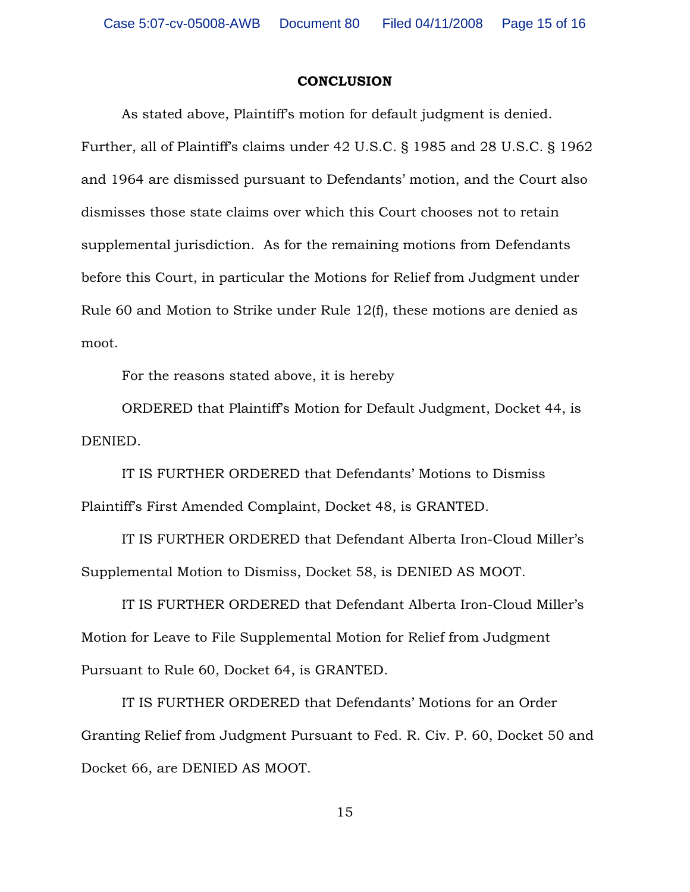#### **CONCLUSION**

As stated above, Plaintiff's motion for default judgment is denied. Further, all of Plaintiff's claims under 42 U.S.C. § 1985 and 28 U.S.C. § 1962 and 1964 are dismissed pursuant to Defendants' motion, and the Court also dismisses those state claims over which this Court chooses not to retain supplemental jurisdiction. As for the remaining motions from Defendants before this Court, in particular the Motions for Relief from Judgment under Rule 60 and Motion to Strike under Rule 12(f), these motions are denied as moot.

For the reasons stated above, it is hereby

ORDERED that Plaintiff's Motion for Default Judgment, Docket 44, is DENIED.

IT IS FURTHER ORDERED that Defendants' Motions to Dismiss Plaintiff's First Amended Complaint, Docket 48, is GRANTED.

IT IS FURTHER ORDERED that Defendant Alberta Iron-Cloud Miller's Supplemental Motion to Dismiss, Docket 58, is DENIED AS MOOT.

IT IS FURTHER ORDERED that Defendant Alberta Iron-Cloud Miller's Motion for Leave to File Supplemental Motion for Relief from Judgment Pursuant to Rule 60, Docket 64, is GRANTED.

IT IS FURTHER ORDERED that Defendants' Motions for an Order Granting Relief from Judgment Pursuant to Fed. R. Civ. P. 60, Docket 50 and Docket 66, are DENIED AS MOOT.